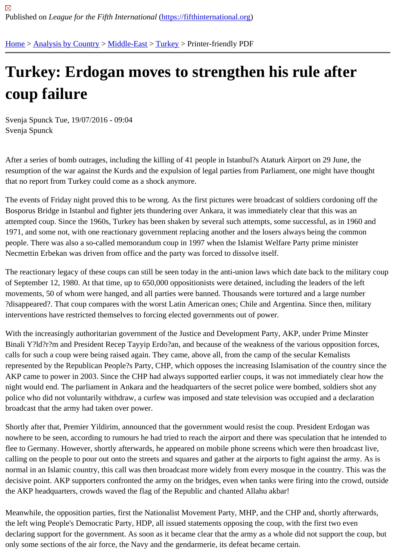## [Tur](https://fifthinternational.org/)[key: Erdog](https://fifthinternational.org/category/1)[an mo](https://fifthinternational.org/category/1/178)[ves](https://fifthinternational.org/category/1/178/174) to strengthen his rule after coup failure

Svenja Spunck Tue, 19/07/2016 - 09:04 Svenja Spunck

After a series of bomb outrages, including the killing of 41 people in Istanbul?s Ataturk Airport on 29 June, the resumption of the war against the Kurds and the expulsion of legal parties from Parliament, one might have though that no report from Turkey could come as a shock anymore.

The events of Friday night proved this to be wrong. As the first pictures were broadcast of soldiers cordoning off th Bosporus Bridge in Istanbul and fighter jets thundering over Ankara, it was immediately clear that this was an attempted coup. Since the 1960s, Turkey has been shaken by several such attempts, some successful, as in 1960 1971, and some not, with one reactionary government replacing another and the losers always being the common people. There was also a so-called memorandum coup in 1997 when the Islamist Welfare Party prime minister Necmettin Erbekan was driven from office and the party was forced to dissolve itself.

The reactionary legacy of these coups can still be seen today in the anti-union laws which date back to the military of September 12, 1980. At that time, up to 650,000 oppositionists were detained, including the leaders of the left movements, 50 of whom were hanged, and all parties were banned. Thousands were tortured and a large number ?disappeared?. That coup compares with the worst Latin American ones; Chile and Argentina. Since then, military interventions have restricted themselves to forcing elected governments out of power.

With the increasingly authoritarian government of the Justice and Development Party, AKP, under Prime Minster Binali Y?ld?r?m and President Recep Tayyip Erdo?an, and because of the weakness of the various opposition for calls for such a coup were being raised again. They came, above all, from the camp of the secular Kemalists represented by the Republican People?s Party, CHP, which opposes the increasing Islamisation of the country sin AKP came to power in 2003. Since the CHP had always supported earlier coups, it was not immediately clear how night would end. The parliament in Ankara and the headquarters of the secret police were bombed, soldiers shot a police who did not voluntarily withdraw, a curfew was imposed and state television was occupied and a declaration broadcast that the army had taken over power.

Shortly after that, Premier Yildirim, announced that the government would resist the coup. President Erdogan was nowhere to be seen, according to rumours he had tried to reach the airport and there was speculation that he inter flee to Germany. However, shortly afterwards, he appeared on mobile phone screens which were then broadcast l calling on the people to pour out onto the streets and squares and gather at the airports to fight against the army. normal in an Islamic country, this call was then broadcast more widely from every mosque in the country. This was decisive point. AKP supporters confronted the army on the bridges, even when tanks were firing into the crowd, ou the AKP headquarters, crowds waved the flag of the Republic and chanted Allahu akbar!

Meanwhile, the opposition parties, first the Nationalist Movement Party, MHP, and the CHP and, shortly afterwards, the left wing People's Democratic Party, HDP, all issued statements opposing the coup, with the first two even declaring support for the government. As soon as it became clear that the army as a whole did not support the cou only some sections of the air force, the Navy and the gendarmerie, its defeat became certain.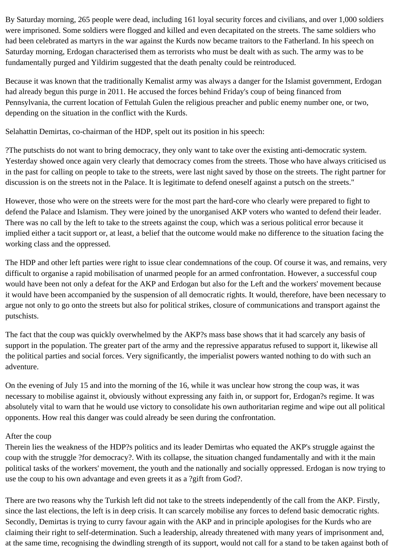By Saturday morning, 265 people were dead, including 161 loyal security forces and civilians, and over 1,000 soldiers were imprisoned. Some soldiers were flogged and killed and even decapitated on the streets. The same soldiers who had been celebrated as martyrs in the war against the Kurds now became traitors to the Fatherland. In his speech on Saturday morning, Erdogan characterised them as terrorists who must be dealt with as such. The army was to be fundamentally purged and Yildirim suggested that the death penalty could be reintroduced.

Because it was known that the traditionally Kemalist army was always a danger for the Islamist government, Erdogan had already begun this purge in 2011. He accused the forces behind Friday's coup of being financed from Pennsylvania, the current location of Fettulah Gulen the religious preacher and public enemy number one, or two, depending on the situation in the conflict with the Kurds.

Selahattin Demirtas, co-chairman of the HDP, spelt out its position in his speech:

?The putschists do not want to bring democracy, they only want to take over the existing anti-democratic system. Yesterday showed once again very clearly that democracy comes from the streets. Those who have always criticised us in the past for calling on people to take to the streets, were last night saved by those on the streets. The right partner for discussion is on the streets not in the Palace. It is legitimate to defend oneself against a putsch on the streets."

However, those who were on the streets were for the most part the hard-core who clearly were prepared to fight to defend the Palace and Islamism. They were joined by the unorganised AKP voters who wanted to defend their leader. There was no call by the left to take to the streets against the coup, which was a serious political error because it implied either a tacit support or, at least, a belief that the outcome would make no difference to the situation facing the working class and the oppressed.

The HDP and other left parties were right to issue clear condemnations of the coup. Of course it was, and remains, very difficult to organise a rapid mobilisation of unarmed people for an armed confrontation. However, a successful coup would have been not only a defeat for the AKP and Erdogan but also for the Left and the workers' movement because it would have been accompanied by the suspension of all democratic rights. It would, therefore, have been necessary to argue not only to go onto the streets but also for political strikes, closure of communications and transport against the putschists.

The fact that the coup was quickly overwhelmed by the AKP?s mass base shows that it had scarcely any basis of support in the population. The greater part of the army and the repressive apparatus refused to support it, likewise all the political parties and social forces. Very significantly, the imperialist powers wanted nothing to do with such an adventure.

On the evening of July 15 and into the morning of the 16, while it was unclear how strong the coup was, it was necessary to mobilise against it, obviously without expressing any faith in, or support for, Erdogan?s regime. It was absolutely vital to warn that he would use victory to consolidate his own authoritarian regime and wipe out all political opponents. How real this danger was could already be seen during the confrontation.

## After the coup

Therein lies the weakness of the HDP?s politics and its leader Demirtas who equated the AKP's struggle against the coup with the struggle ?for democracy?. With its collapse, the situation changed fundamentally and with it the main political tasks of the workers' movement, the youth and the nationally and socially oppressed. Erdogan is now trying to use the coup to his own advantage and even greets it as a ?gift from God?.

There are two reasons why the Turkish left did not take to the streets independently of the call from the AKP. Firstly, since the last elections, the left is in deep crisis. It can scarcely mobilise any forces to defend basic democratic rights. Secondly, Demirtas is trying to curry favour again with the AKP and in principle apologises for the Kurds who are claiming their right to self-determination. Such a leadership, already threatened with many years of imprisonment and, at the same time, recognising the dwindling strength of its support, would not call for a stand to be taken against both of